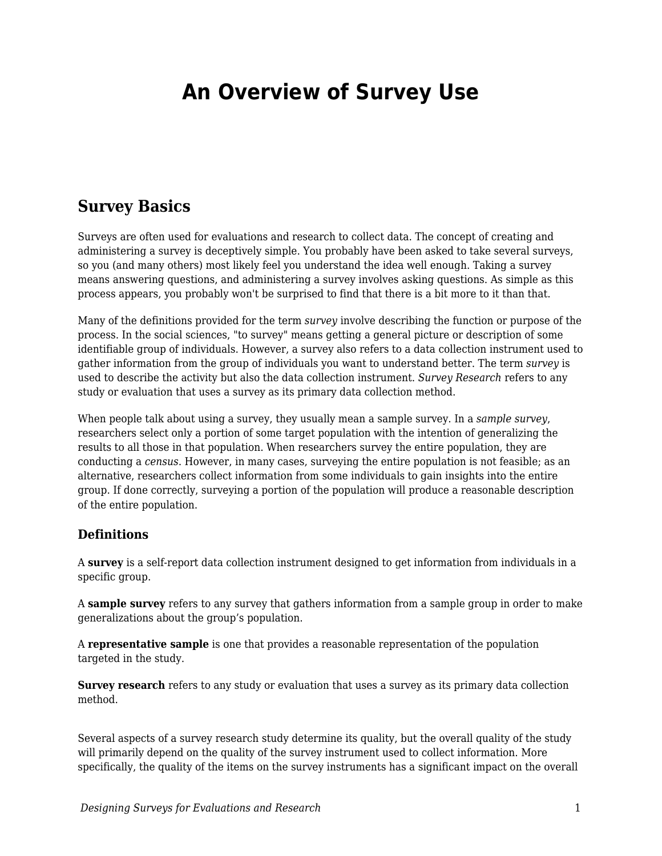# **An Overview of Survey Use**

### **Survey Basics**

Surveys are often used for evaluations and research to collect data. The concept of creating and administering a survey is deceptively simple. You probably have been asked to take several surveys, so you (and many others) most likely feel you understand the idea well enough. Taking a survey means answering questions, and administering a survey involves asking questions. As simple as this process appears, you probably won't be surprised to find that there is a bit more to it than that.

Many of the definitions provided for the term *survey* involve describing the function or purpose of the process. In the social sciences, "to survey" means getting a general picture or description of some identifiable group of individuals. However, a survey also refers to a data collection instrument used to gather information from the group of individuals you want to understand better. The term *survey* is used to describe the activity but also the data collection instrument. *Survey Research* refers to any study or evaluation that uses a survey as its primary data collection method.

When people talk about using a survey, they usually mean a sample survey. In a *sample survey*, researchers select only a portion of some target population with the intention of generalizing the results to all those in that population. When researchers survey the entire population, they are conducting a *census*. However, in many cases, surveying the entire population is not feasible; as an alternative, researchers collect information from some individuals to gain insights into the entire group. If done correctly, surveying a portion of the population will produce a reasonable description of the entire population.

### **Definitions**

A **survey** is a self-report data collection instrument designed to get information from individuals in a specific group.

A **sample survey** refers to any survey that gathers information from a sample group in order to make generalizations about the group's population.

A **representative sample** is one that provides a reasonable representation of the population targeted in the study.

**Survey research** refers to any study or evaluation that uses a survey as its primary data collection method.

Several aspects of a survey research study determine its quality, but the overall quality of the study will primarily depend on the quality of the survey instrument used to collect information. More specifically, the quality of the items on the survey instruments has a significant impact on the overall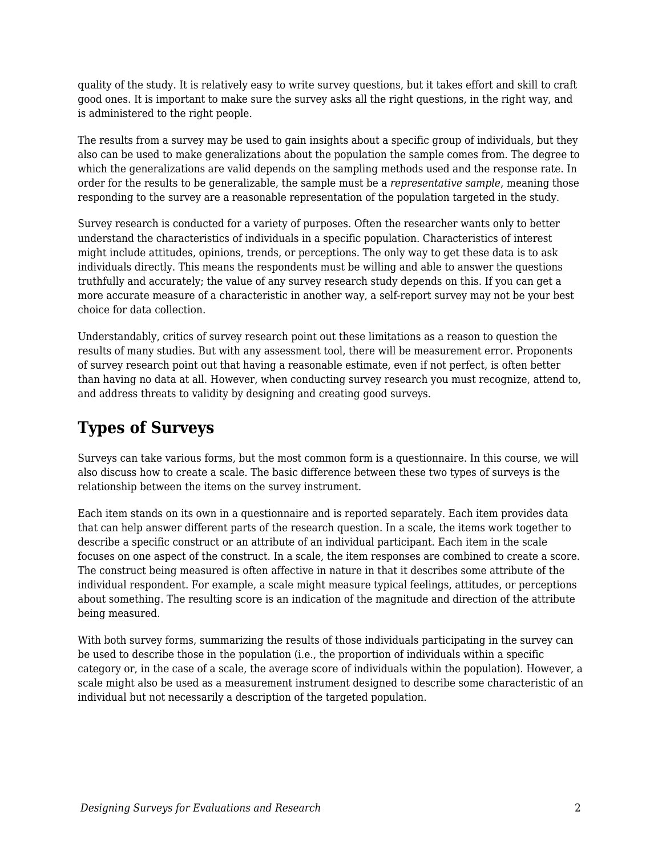quality of the study. It is relatively easy to write survey questions, but it takes effort and skill to craft good ones. It is important to make sure the survey asks all the right questions, in the right way, and is administered to the right people.

The results from a survey may be used to gain insights about a specific group of individuals, but they also can be used to make generalizations about the population the sample comes from. The degree to which the generalizations are valid depends on the sampling methods used and the response rate. In order for the results to be generalizable, the sample must be a *representative sample*, meaning those responding to the survey are a reasonable representation of the population targeted in the study.

Survey research is conducted for a variety of purposes. Often the researcher wants only to better understand the characteristics of individuals in a specific population. Characteristics of interest might include attitudes, opinions, trends, or perceptions. The only way to get these data is to ask individuals directly. This means the respondents must be willing and able to answer the questions truthfully and accurately; the value of any survey research study depends on this. If you can get a more accurate measure of a characteristic in another way, a self-report survey may not be your best choice for data collection.

Understandably, critics of survey research point out these limitations as a reason to question the results of many studies. But with any assessment tool, there will be measurement error. Proponents of survey research point out that having a reasonable estimate, even if not perfect, is often better than having no data at all. However, when conducting survey research you must recognize, attend to, and address threats to validity by designing and creating good surveys.

## **Types of Surveys**

Surveys can take various forms, but the most common form is a questionnaire. In this course, we will also discuss how to create a scale. The basic difference between these two types of surveys is the relationship between the items on the survey instrument.

Each item stands on its own in a questionnaire and is reported separately. Each item provides data that can help answer different parts of the research question. In a scale, the items work together to describe a specific construct or an attribute of an individual participant. Each item in the scale focuses on one aspect of the construct. In a scale, the item responses are combined to create a score. The construct being measured is often affective in nature in that it describes some attribute of the individual respondent. For example, a scale might measure typical feelings, attitudes, or perceptions about something. The resulting score is an indication of the magnitude and direction of the attribute being measured.

With both survey forms, summarizing the results of those individuals participating in the survey can be used to describe those in the population (i.e., the proportion of individuals within a specific category or, in the case of a scale, the average score of individuals within the population). However, a scale might also be used as a measurement instrument designed to describe some characteristic of an individual but not necessarily a description of the targeted population.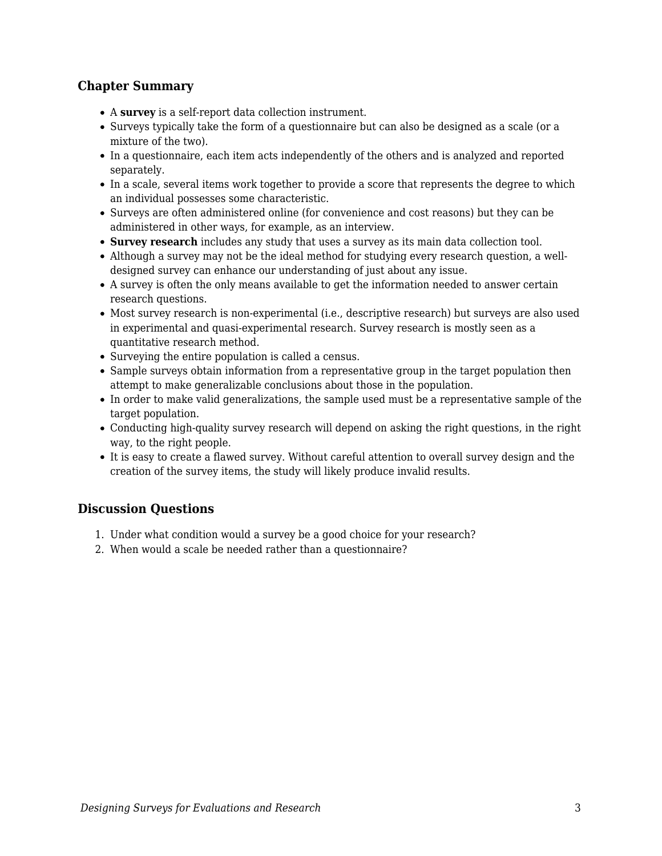### **Chapter Summary**

- A **survey** is a self-report data collection instrument.
- Surveys typically take the form of a questionnaire but can also be designed as a scale (or a mixture of the two).
- In a questionnaire, each item acts independently of the others and is analyzed and reported separately.
- In a scale, several items work together to provide a score that represents the degree to which an individual possesses some characteristic.
- Surveys are often administered online (for convenience and cost reasons) but they can be administered in other ways, for example, as an interview.
- **Survey research** includes any study that uses a survey as its main data collection tool.
- Although a survey may not be the ideal method for studying every research question, a welldesigned survey can enhance our understanding of just about any issue.
- A survey is often the only means available to get the information needed to answer certain research questions.
- Most survey research is non-experimental (i.e., descriptive research) but surveys are also used in experimental and quasi-experimental research. Survey research is mostly seen as a quantitative research method.
- Surveying the entire population is called a census.
- Sample surveys obtain information from a representative group in the target population then attempt to make generalizable conclusions about those in the population.
- In order to make valid generalizations, the sample used must be a representative sample of the target population.
- Conducting high-quality survey research will depend on asking the right questions, in the right way, to the right people.
- It is easy to create a flawed survey. Without careful attention to overall survey design and the creation of the survey items, the study will likely produce invalid results.

### **Discussion Questions**

- 1. Under what condition would a survey be a good choice for your research?
- 2. When would a scale be needed rather than a questionnaire?